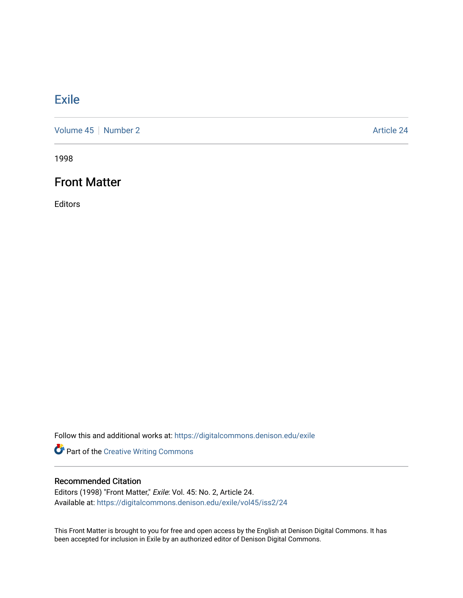# **[Exile](https://digitalcommons.denison.edu/exile)**

[Volume 45](https://digitalcommons.denison.edu/exile/vol45) | [Number 2](https://digitalcommons.denison.edu/exile/vol45/iss2) Article 24

1998

# Front Matter

Editors

Follow this and additional works at: [https://digitalcommons.denison.edu/exile](https://digitalcommons.denison.edu/exile?utm_source=digitalcommons.denison.edu%2Fexile%2Fvol45%2Fiss2%2F24&utm_medium=PDF&utm_campaign=PDFCoverPages) 

Part of the [Creative Writing Commons](http://network.bepress.com/hgg/discipline/574?utm_source=digitalcommons.denison.edu%2Fexile%2Fvol45%2Fiss2%2F24&utm_medium=PDF&utm_campaign=PDFCoverPages) 

### Recommended Citation

Editors (1998) "Front Matter," Exile: Vol. 45: No. 2, Article 24. Available at: [https://digitalcommons.denison.edu/exile/vol45/iss2/24](https://digitalcommons.denison.edu/exile/vol45/iss2/24?utm_source=digitalcommons.denison.edu%2Fexile%2Fvol45%2Fiss2%2F24&utm_medium=PDF&utm_campaign=PDFCoverPages)

This Front Matter is brought to you for free and open access by the English at Denison Digital Commons. It has been accepted for inclusion in Exile by an authorized editor of Denison Digital Commons.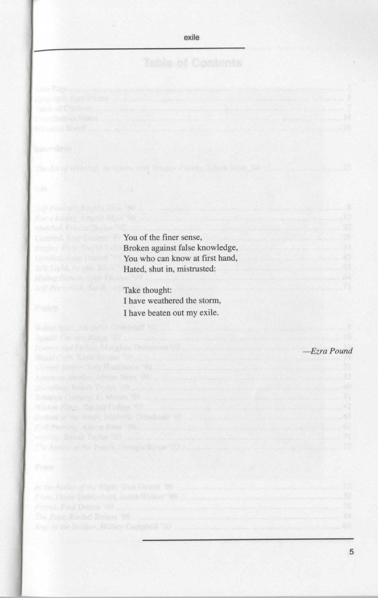exile

**Example 2018** You of the finer sense, Broken against false knowledge, You who can know at first hand, Hated, shut in, mistrusted:

> Take thought: I have weathered the storm, I have beaten out my exile.

> > —*Ezra Pound*